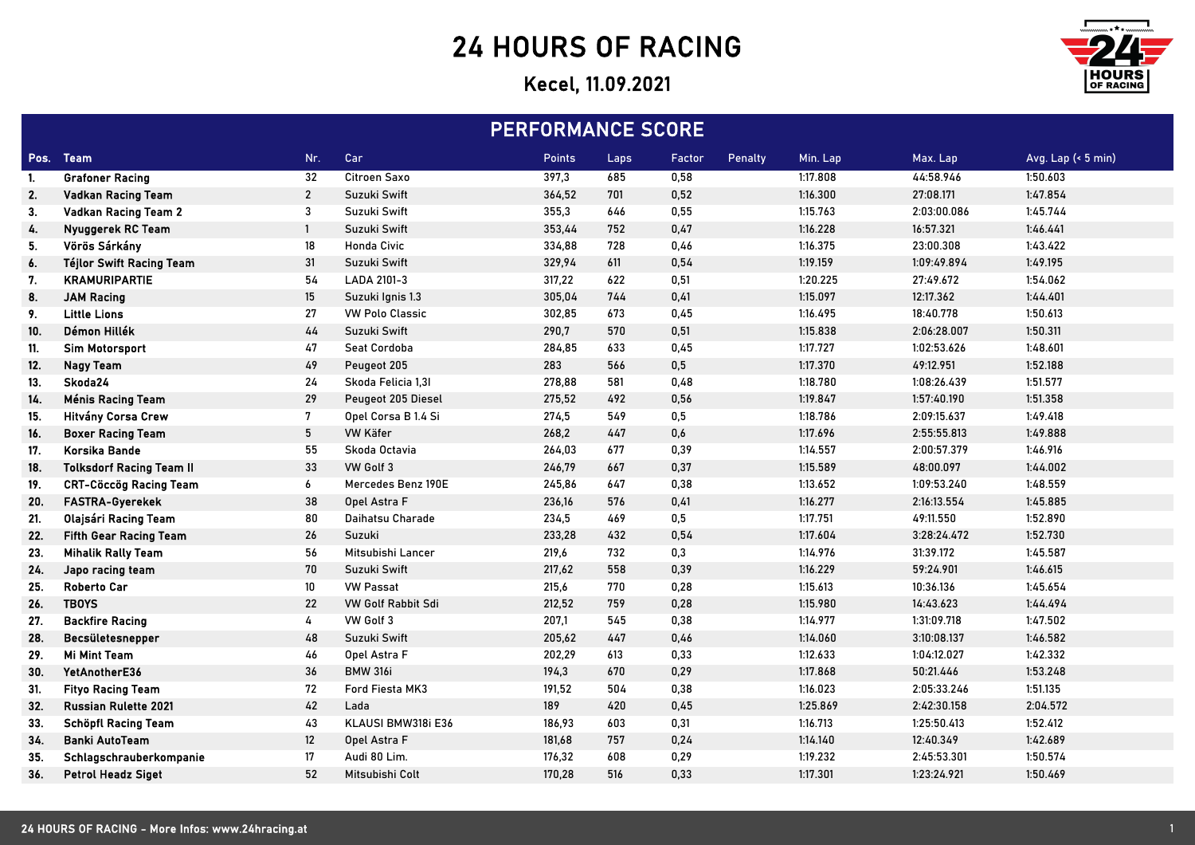## 24 HOURS OF RACING

## Kecel, 11.09.2021



| <b>PERFORMANCE SCORE</b> |                                 |                   |                        |        |      |        |         |          |             |                    |
|--------------------------|---------------------------------|-------------------|------------------------|--------|------|--------|---------|----------|-------------|--------------------|
|                          | Pos. Team                       | Nr.               | Car                    | Points | Laps | Factor | Penalty | Min. Lap | Max. Lap    | Avg. Lap (< 5 min) |
| -1.                      | <b>Grafoner Racing</b>          | 32                | Citroen Saxo           | 397,3  | 685  | 0,58   |         | 1:17.808 | 44:58.946   | 1:50.603           |
| 2.                       | <b>Vadkan Racing Team</b>       | $\boldsymbol{2}$  | Suzuki Swift           | 364,52 | 701  | 0,52   |         | 1:16.300 | 27:08.171   | 1:47.854           |
| 3.                       | <b>Vadkan Racing Team 2</b>     | 3                 | Suzuki Swift           | 355,3  | 646  | 0,55   |         | 1:15.763 | 2:03:00.086 | 1:45.744           |
| 4.                       | Nyuggerek RC Team               | $\mathbf{1}$      | Suzuki Swift           | 353,44 | 752  | 0,47   |         | 1:16.228 | 16:57.321   | 1:46.441           |
| 5.                       | Vörös Sárkány                   | 18                | <b>Honda Civic</b>     | 334,88 | 728  | 0,46   |         | 1:16.375 | 23:00.308   | 1:43.422           |
| 6.                       | <b>Téjlor Swift Racing Team</b> | 31                | Suzuki Swift           | 329,94 | 611  | 0,54   |         | 1:19.159 | 1:09:49.894 | 1:49.195           |
| 7.                       | <b>KRAMURIPARTIE</b>            | 54                | LADA 2101-3            | 317,22 | 622  | 0,51   |         | 1:20.225 | 27:49.672   | 1:54.062           |
| 8.                       | <b>JAM Racing</b>               | $15\,$            | Suzuki Ignis 1.3       | 305,04 | 744  | 0,41   |         | 1:15.097 | 12:17.362   | 1:44.401           |
| 9.                       | <b>Little Lions</b>             | 27                | <b>VW Polo Classic</b> | 302,85 | 673  | 0,45   |         | 1:16.495 | 18:40.778   | 1:50.613           |
| 10.                      | Démon Hillék                    | 44                | Suzuki Swift           | 290,7  | 570  | 0,51   |         | 1:15.838 | 2:06:28.007 | 1:50.311           |
| 11.                      | <b>Sim Motorsport</b>           | 47                | Seat Cordoba           | 284,85 | 633  | 0,45   |         | 1:17.727 | 1:02:53.626 | 1:48.601           |
| 12.                      | <b>Nagy Team</b>                | 49                | Peugeot 205            | 283    | 566  | 0,5    |         | 1:17.370 | 49:12.951   | 1:52.188           |
| 13.                      | Skoda24                         | 24                | Skoda Felicia 1,31     | 278,88 | 581  | 0,48   |         | 1:18.780 | 1:08:26.439 | 1:51.577           |
| 14.                      | <b>Ménis Racing Team</b>        | 29                | Peugeot 205 Diesel     | 275,52 | 492  | 0,56   |         | 1:19.847 | 1:57:40.190 | 1:51.358           |
| 15.                      | Hitvány Corsa Crew              | 7                 | Opel Corsa B 1.4 Si    | 274,5  | 549  | 0,5    |         | 1:18.786 | 2:09:15.637 | 1:49.418           |
| 16.                      | <b>Boxer Racing Team</b>        | $5\phantom{.0}$   | VW Käfer               | 268,2  | 447  | 0,6    |         | 1:17.696 | 2:55:55.813 | 1:49.888           |
| 17.                      | Korsika Bande                   | 55                | Skoda Octavia          | 264,03 | 677  | 0,39   |         | 1:14.557 | 2:00:57.379 | 1:46.916           |
| 18.                      | <b>Tolksdorf Racing Team II</b> | 33                | VW Golf 3              | 246,79 | 667  | 0,37   |         | 1:15.589 | 48:00.097   | 1:44.002           |
| 19.                      | <b>CRT-Cöccög Racing Team</b>   | 6                 | Mercedes Benz 190E     | 245,86 | 647  | 0,38   |         | 1:13.652 | 1:09:53.240 | 1:48.559           |
| 20.                      | FASTRA-Gyerekek                 | 38                | Opel Astra F           | 236,16 | 576  | 0,41   |         | 1:16.277 | 2:16:13.554 | 1:45.885           |
| 21.                      | Olajsári Racing Team            | 80                | Daihatsu Charade       | 234,5  | 469  | 0,5    |         | 1:17.751 | 49:11.550   | 1:52.890           |
| 22.                      | <b>Fifth Gear Racing Team</b>   | 26                | Suzuki                 | 233,28 | 432  | 0,54   |         | 1:17.604 | 3:28:24.472 | 1:52.730           |
| 23.                      | <b>Mihalik Rally Team</b>       | 56                | Mitsubishi Lancer      | 219,6  | 732  | 0,3    |         | 1:14.976 | 31:39.172   | 1:45.587           |
| 24.                      | Japo racing team                | 70                | Suzuki Swift           | 217,62 | 558  | 0,39   |         | 1:16.229 | 59:24.901   | 1:46.615           |
| 25.                      | <b>Roberto Car</b>              | 10 <sup>°</sup>   | <b>VW Passat</b>       | 215,6  | 770  | 0,28   |         | 1:15.613 | 10:36.136   | 1:45.654           |
| 26.                      | <b>TBOYS</b>                    | 22                | VW Golf Rabbit Sdi     | 212,52 | 759  | 0,28   |         | 1:15.980 | 14:43.623   | 1:44.494           |
| 27.                      | <b>Backfire Racing</b>          | 4                 | VW Golf 3              | 207,1  | 545  | 0,38   |         | 1:14.977 | 1:31:09.718 | 1:47.502           |
| 28.                      | Becsületesnepper                | 48                | Suzuki Swift           | 205,62 | 447  | 0,46   |         | 1:14.060 | 3:10:08.137 | 1:46.582           |
| 29.                      | <b>Mi Mint Team</b>             | 46                | Opel Astra F           | 202,29 | 613  | 0,33   |         | 1:12.633 | 1:04:12.027 | 1:42.332           |
| 30.                      | YetAnotherE36                   | 36                | <b>BMW 316i</b>        | 194,3  | 670  | 0,29   |         | 1:17.868 | 50:21.446   | 1:53.248           |
| 31.                      | <b>Fityo Racing Team</b>        | 72                | Ford Fiesta MK3        | 191,52 | 504  | 0,38   |         | 1:16.023 | 2:05:33.246 | 1:51.135           |
| 32.                      | <b>Russian Rulette 2021</b>     | 42                | Lada                   | 189    | 420  | 0,45   |         | 1:25.869 | 2:42:30.158 | 2:04.572           |
| 33.                      | <b>Schöpfl Racing Team</b>      | 43                | KLAUSI BMW318i E36     | 186,93 | 603  | 0,31   |         | 1:16.713 | 1:25:50.413 | 1:52.412           |
| 34.                      | <b>Banki AutoTeam</b>           | $12 \overline{ }$ | Opel Astra F           | 181,68 | 757  | 0,24   |         | 1:14.140 | 12:40.349   | 1:42.689           |
| 35.                      | Schlagschrauberkompanie         | 17                | Audi 80 Lim.           | 176,32 | 608  | 0,29   |         | 1:19.232 | 2:45:53.301 | 1:50.574           |
| 36.                      | <b>Petrol Headz Siget</b>       | 52                | Mitsubishi Colt        | 170,28 | 516  | 0,33   |         | 1:17.301 | 1:23:24.921 | 1:50.469           |